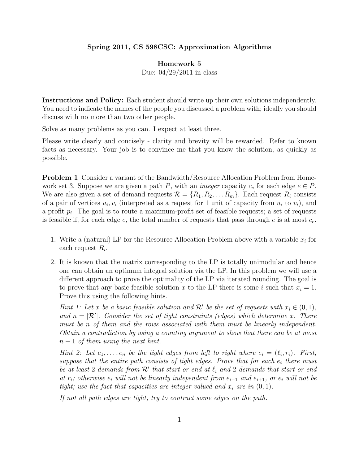## Spring 2011, CS 598CSC: Approximation Algorithms

## Homework 5

Due: 04/29/2011 in class

Instructions and Policy: Each student should write up their own solutions independently. You need to indicate the names of the people you discussed a problem with; ideally you should discuss with no more than two other people.

Solve as many problems as you can. I expect at least three.

Please write clearly and concisely - clarity and brevity will be rewarded. Refer to known facts as necessary. Your job is to convince me that you know the solution, as quickly as possible.

**Problem 1** Consider a variant of the Bandwidth/Resource Allocation Problem from Homework set 3. Suppose we are given a path P, with an *integer* capacity  $c_e$  for each edge  $e \in P$ . We are also given a set of demand requests  $\mathcal{R} = \{R_1, R_2, \ldots R_m\}$ . Each request  $R_i$  consists of a pair of vertices  $u_i, v_i$  (interpreted as a request for 1 unit of capacity from  $u_i$  to  $v_i$ ), and a profit  $p_i$ . The goal is to route a maximum-profit set of feasible requests; a set of requests is feasible if, for each edge  $e$ , the total number of requests that pass through  $e$  is at most  $c_e$ .

- 1. Write a (natural) LP for the Resource Allocation Problem above with a variable  $x_i$  for each request  $R_i$ .
- 2. It is known that the matrix corresponding to the LP is totally unimodular and hence one can obtain an optimum integral solution via the LP. In this problem we will use a different approach to prove the optimality of the LP via iterated rounding. The goal is to prove that any basic feasible solution x to the LP there is some i such that  $x_i = 1$ . Prove this using the following hints.

Hint 1: Let x be a basic feasible solution and  $\mathcal{R}'$  be the set of requests with  $x_i \in (0,1)$ , and  $n = |\mathcal{R}'|$ . Consider the set of tight constraints (edges) which determine x. There must be n of them and the rows associated with them must be linearly independent. Obtain a contradiction by using a counting argument to show that there can be at most  $n-1$  of them using the next hint.

Hint 2: Let  $e_1, \ldots, e_n$  be the tight edges from left to right where  $e_i = (\ell_i, r_i)$ . First, suppose that the entire path consists of tight edges. Prove that for each  $e_i$  there must be at least 2 demands from  $\mathcal{R}'$  that start or end at  $\ell_i$  and 2 demands that start or end at  $r_i$ ; otherwise  $e_i$  will not be linearly independent from  $e_{i-1}$  and  $e_{i+1}$ , or  $e_i$  will not be tight; use the fact that capacities are integer valued and  $x_i$  are in  $(0, 1)$ .

If not all path edges are tight, try to contract some edges on the path.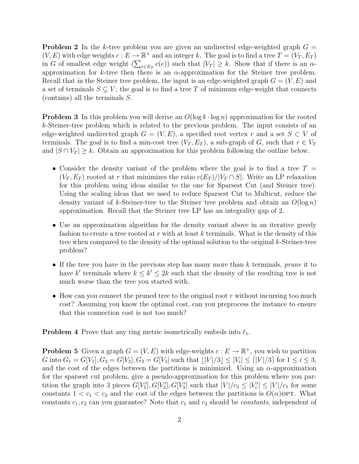**Problem 2** In the k-tree problem you are given an undirected edge-weighted graph  $G =$  $(V, E)$  with edge weights  $c : E \to \mathbb{R}^+$  and an integer k. The goal is to find a tree  $T = (V_T, E_T)$ in G of smallest edge weight  $(\sum_{e \in E_T} c(e))$  such that  $|V_T| \geq k$ . Show that if there is an  $\alpha$ approximation for k-tree then there is an  $\alpha$ -approximation for the Steiner tree problem. Recall that in the Steiner tree problem, the input is an edge-weighted graph  $G = (V, E)$  and a set of terminals  $S \subseteq V$ ; the goal is to find a tree T of minimum edge-weight that connects (contains) all the terminals S.

**Problem 3** In this problem you will derive an  $O(\log k \cdot \log n)$  approximation for the rooted k-Steiner-tree problem which is related to the previous problem. The input consists of an edge-weighted undirected graph  $G = (V, E)$ , a specified root vertex r and a set  $S \subset V$  of terminals. The goal is to find a min-cost tree  $(V_T, E_T)$ , a sub-graph of G, such that  $r \in V_T$ and  $|S \cap V_T| \geq k$ . Obtain an approximation for this problem following the outline below.

- Consider the density variant of the problem where the goal is to find a tree  $T =$  $(V_T, E_T)$  rooted at r that minimizes the ratio  $c(E_T)/|V_T \cap S|$ . Write an LP relaxation for this problem using ideas similar to the one for Sparsest Cut (and Steiner tree). Using the scaling ideas that we used to reduce Sparsest Cut to Multicut, reduce the density variant of k-Steiner-tree to the Steiner tree problem and obtain an  $O(\log n)$ approximation. Recall that the Steiner tree LP has an integrality gap of 2.
- Use an approximation algorithm for the density variant above in an iterative greedy fashion to create a tree rooted at r with at least k terminals. What is the density of this tree when compared to the density of the optimal solution to the original k-Steiner-tree problem?
- If the tree you have in the previous step has many more than  $k$  terminals, prune it to have k' terminals where  $k \leq k' \leq 2k$  such that the density of the resulting tree is not much worse than the tree you started with.
- How can you connect the pruned tree to the original root  $r$  without incurring too much cost? Assuming you know the optimal cost, can you preprocess the instance to ensure that this connection cost is not too much?

**Problem 4** Prove that any ring metric isometrically embeds into  $\ell_1$ .

**Problem 5** Given a graph  $G = (V, E)$  with edge-weights  $c : E \to \mathbb{R}^+$ , you wish to partition G into  $G_1 = G[V_1], G_2 = G[V_2], G_3 = G[V_3]$  such that  $\lfloor |V|/3 \rfloor \le |V_i| \le |V|/3$  for  $1 \le i \le 3$ , and the cost of the edges between the partitions is minimized. Using an  $\alpha$ -approximation for the sparsest cut problem, give a pseudo-approximation for this problem where you partition the graph into 3 pieces  $G[V_1], G[V_2], G[V_3]$  such that  $|V|/c_2 \leq |V_1'| \leq |V|/c_1$  for some constants  $1 < c_1 < c_2$  and the cost of the edges between the partitions is  $O(\alpha)$ OPT. What constants  $c_1, c_2$  can you guarantee? Note that  $c_1$  and  $c_2$  should be *constants*, independent of